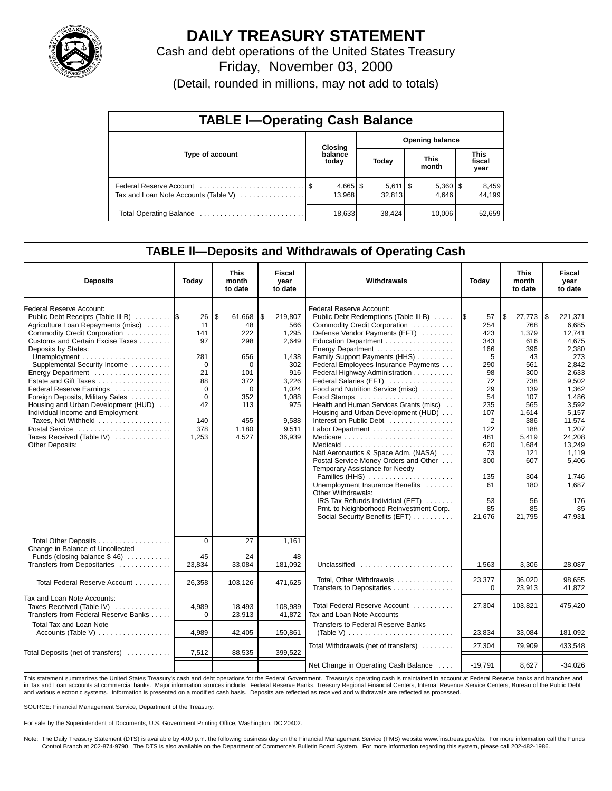

# **DAILY TREASURY STATEMENT**

Cash and debt operations of the United States Treasury Friday, November 03, 2000

(Detail, rounded in millions, may not add to totals)

| <b>TABLE I-Operating Cash Balance</b> |  |                        |                        |                           |  |                       |                        |                 |  |
|---------------------------------------|--|------------------------|------------------------|---------------------------|--|-----------------------|------------------------|-----------------|--|
|                                       |  | Closing                | <b>Opening balance</b> |                           |  |                       |                        |                 |  |
| Type of account                       |  | balance<br>today       |                        | Today                     |  | <b>This</b><br>month  | This<br>fiscal<br>year |                 |  |
| Tax and Loan Note Accounts (Table V)  |  | $4,665$   \$<br>13.968 |                        | $5,611$ $\sqrt$<br>32,813 |  | $5,360$   \$<br>4.646 |                        | 8,459<br>44,199 |  |
|                                       |  | 18,633                 |                        | 38.424                    |  | 10.006                |                        | 52,659          |  |

### **TABLE ll—Deposits and Withdrawals of Operating Cash**

| <b>Deposits</b>                                                                                                                                                                                                                                                                                                                                                                                                                                                                              | Today                                                                                              | <b>This</b><br>month<br>to date                                                                                 | Fiscal<br>vear<br>to date                                                                                                  | Withdrawals                                                                                                                                                                                                                                                                                                                                                                                                                                                                                                                                                                                                                                                                                                                                                                      | Today                                                                                                                                                             | <b>This</b><br>month<br>to date                                                                                                                                                        | Fiscal<br>year<br>to date                                                                                                                                                                                                    |
|----------------------------------------------------------------------------------------------------------------------------------------------------------------------------------------------------------------------------------------------------------------------------------------------------------------------------------------------------------------------------------------------------------------------------------------------------------------------------------------------|----------------------------------------------------------------------------------------------------|-----------------------------------------------------------------------------------------------------------------|----------------------------------------------------------------------------------------------------------------------------|----------------------------------------------------------------------------------------------------------------------------------------------------------------------------------------------------------------------------------------------------------------------------------------------------------------------------------------------------------------------------------------------------------------------------------------------------------------------------------------------------------------------------------------------------------------------------------------------------------------------------------------------------------------------------------------------------------------------------------------------------------------------------------|-------------------------------------------------------------------------------------------------------------------------------------------------------------------|----------------------------------------------------------------------------------------------------------------------------------------------------------------------------------------|------------------------------------------------------------------------------------------------------------------------------------------------------------------------------------------------------------------------------|
| Federal Reserve Account:<br>Public Debt Receipts (Table III-B)<br>Agriculture Loan Repayments (misc)<br>Commodity Credit Corporation<br>Customs and Certain Excise Taxes<br>Deposits by States:<br>Supplemental Security Income<br>Estate and Gift Taxes<br>Federal Reserve Earnings<br>Foreign Deposits, Military Sales<br>Housing and Urban Development (HUD)<br>Individual Income and Employment<br>Taxes, Not Withheld<br>Postal Service<br>Taxes Received (Table IV)<br>Other Deposits: | 26<br>11<br>141<br>97<br>281<br>$\Omega$<br>21<br>88<br>0<br>$\Omega$<br>42<br>140<br>378<br>1,253 | l \$<br>61,668<br>48<br>222<br>298<br>656<br>$\Omega$<br>101<br>372<br>0<br>352<br>113<br>455<br>1,180<br>4,527 | 5<br>219.807<br>566<br>1.295<br>2,649<br>1,438<br>302<br>916<br>3.226<br>1.024<br>1,088<br>975<br>9,588<br>9,511<br>36,939 | Federal Reserve Account:<br>Public Debt Redemptions (Table III-B)<br>Commodity Credit Corporation<br>Defense Vendor Payments (EFT)<br>Education Department<br>Family Support Payments (HHS)<br>Federal Employees Insurance Payments<br>Federal Highway Administration<br>Federal Salaries (EFT)<br>Food and Nutrition Service (misc)<br>Food Stamps<br>Health and Human Services Grants (misc).<br>Housing and Urban Development (HUD)<br>Interest on Public Debt<br>Natl Aeronautics & Space Adm. (NASA)<br>Postal Service Money Orders and Other<br>Temporary Assistance for Needy<br>Families (HHS)<br>Unemployment Insurance Benefits<br>Other Withdrawals:<br>IRS Tax Refunds Individual (EFT)<br>Pmt. to Neighborhood Reinvestment Corp.<br>Social Security Benefits (EFT) | I\$<br>57<br>254<br>423<br>343<br>166<br>5<br>290<br>98<br>72<br>29<br>54<br>235<br>107<br>2<br>122<br>481<br>620<br>73<br>300<br>135<br>61<br>53<br>85<br>21,676 | l\$<br>27,773<br>768<br>1.379<br>616<br>396<br>43<br>561<br>300<br>738<br>139<br>107<br>565<br>1,614<br>386<br>188<br>5,419<br>1,684<br>121<br>607<br>304<br>180<br>56<br>85<br>21,795 | l \$<br>221.371<br>6.685<br>12.741<br>4,675<br>2,380<br>273<br>2.842<br>2,633<br>9.502<br>1,362<br>1,486<br>3.592<br>5,157<br>11,574<br>1,207<br>24,208<br>13,249<br>1,119<br>5,406<br>1,746<br>1.687<br>176<br>85<br>47.931 |
| Total Other Deposits<br>Change in Balance of Uncollected<br>Funds (closing balance $$46)$<br>Transfers from Depositaries                                                                                                                                                                                                                                                                                                                                                                     | $\overline{0}$<br>45<br>23,834                                                                     | 27<br>24<br>33,084                                                                                              | 1.161<br>48<br>181,092                                                                                                     | Unclassified                                                                                                                                                                                                                                                                                                                                                                                                                                                                                                                                                                                                                                                                                                                                                                     | 1,563                                                                                                                                                             | 3,306                                                                                                                                                                                  | 28,087                                                                                                                                                                                                                       |
| Total Federal Reserve Account                                                                                                                                                                                                                                                                                                                                                                                                                                                                | 26,358                                                                                             | 103,126                                                                                                         | 471,625                                                                                                                    | Total, Other Withdrawals<br>Transfers to Depositaries                                                                                                                                                                                                                                                                                                                                                                                                                                                                                                                                                                                                                                                                                                                            | 23,377<br>$\Omega$                                                                                                                                                | 36,020<br>23,913                                                                                                                                                                       | 98,655<br>41,872                                                                                                                                                                                                             |
| Tax and Loan Note Accounts:<br>Taxes Received (Table IV)<br>Transfers from Federal Reserve Banks                                                                                                                                                                                                                                                                                                                                                                                             | 4.989<br>$\Omega$                                                                                  | 18.493<br>23,913                                                                                                | 108.989<br>41.872                                                                                                          | Total Federal Reserve Account<br>Tax and Loan Note Accounts                                                                                                                                                                                                                                                                                                                                                                                                                                                                                                                                                                                                                                                                                                                      | 27,304                                                                                                                                                            | 103,821                                                                                                                                                                                | 475,420                                                                                                                                                                                                                      |
| <b>Total Tax and Loan Note</b><br>Accounts (Table V)                                                                                                                                                                                                                                                                                                                                                                                                                                         | 4,989                                                                                              | 42,405                                                                                                          | 150,861                                                                                                                    | Transfers to Federal Reserve Banks<br>(Table V) $\ldots \ldots \ldots \ldots \ldots \ldots \ldots \ldots$                                                                                                                                                                                                                                                                                                                                                                                                                                                                                                                                                                                                                                                                        | 23,834                                                                                                                                                            | 33,084                                                                                                                                                                                 | 181,092                                                                                                                                                                                                                      |
| Total Deposits (net of transfers)                                                                                                                                                                                                                                                                                                                                                                                                                                                            | 7,512                                                                                              | 88,535                                                                                                          | 399,522                                                                                                                    | Total Withdrawals (net of transfers)                                                                                                                                                                                                                                                                                                                                                                                                                                                                                                                                                                                                                                                                                                                                             | 27,304                                                                                                                                                            | 79.909                                                                                                                                                                                 | 433,548                                                                                                                                                                                                                      |
|                                                                                                                                                                                                                                                                                                                                                                                                                                                                                              |                                                                                                    |                                                                                                                 |                                                                                                                            | Net Change in Operating Cash Balance                                                                                                                                                                                                                                                                                                                                                                                                                                                                                                                                                                                                                                                                                                                                             | $-19,791$                                                                                                                                                         | 8,627                                                                                                                                                                                  | $-34,026$                                                                                                                                                                                                                    |

This statement summarizes the United States Treasury's cash and debt operations for the Federal Government. Treasury's operating cash is maintained in account at Federal Reserve banks and branches and in Tax and Loan accounts at commercial banks. Major information sources include: Federal Reserve Banks, Treasury Regional Financial Centers, Internal Revenue Service Centers, Bureau of the Public Debt<br>and various electroni

SOURCE: Financial Management Service, Department of the Treasury.

For sale by the Superintendent of Documents, U.S. Government Printing Office, Washington, DC 20402.

Note: The Daily Treasury Statement (DTS) is available by 4:00 p.m. the following business day on the Financial Management Service (FMS) website www.fms.treas.gov/dts. For more information call the Funds<br>Control Branch at 2